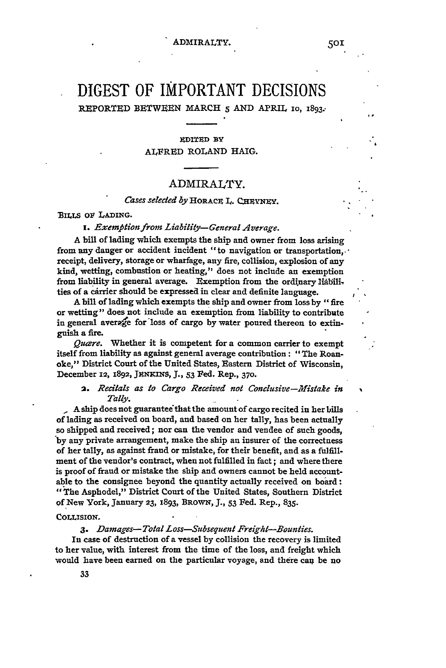# **DIGEST** OF IMPORTANT **DECISIONS**

REPORTED BETWEEN MARCH *5* AND APRIL **io,** 1893.-

# **EDITED BY** ALFRED ROLAND HAIG.

# ADMIRALTY.

# *Cases seleded by* HORACE L. **CzvNZY.**

*jBILLS* ov **LADING.**

*i. Exemptionfrom Liability-General Average.*

A bill of lading which exempts the ship and owner from loss arising from any danger or accident incident "to navigation or transportation,. receipt, delivery, storage or wharfage, any fire, collision, explosion of any kind, wetting, combustion or heating," does not include an exemption from liability in general average. Exemption from the ordinary liabili, ties of a carrier should be expressed in clear and definite language.

**A** bill of lading which exempts the ship and owner from loss **by** "fire or wetting" does not include an exemption from liability to contribute in general average for loss of cargo by water poured thereon to extinguish a fire.

*Quare.* Whether it is competent for a common carrier to exempt itself from liability as against general average contribution **:** "The Roanoke," District Court of the United States, Eastern District of Wisconsin, December **12, 1892, JENKINS,** J., **53** Fed. Rep., **370.**

# **2.** *Recitals as to Cargo Received not Conclusive-Mistake in Tally.*

A ship does not guaranteeithat the amount of cargo recited in her **bills** of lading as received on board, and based on her tally, has been actually so shipped and received; nor can the vendor and vendee of such goods, **'by** any private arrangement, make the ship an insurer of the correctness of her tally, as against fraud or mistake, for their benefit, and as a fulfillment of the vendor's contract, when not fulfilled in fact; and where there is proof of fraud or mistake the ship and owners cannot be held accountable to the consignee beyond the quantity actually received on board: 1"The Asphodel," District Court of the United States, Southern District of New York, January **23,** 1893, **BROWN,** *J.,* **53** Fed. Rep., **835.**

### **COLLISION.**

# *3. Damages-Total Loss-Subsequent Freight-Bounties.*

In case of destruction of a vessel by collision the recovery is limited to her value, with interest from the time of the loss, and freight which would have been earned on the particular voyage, and there can be no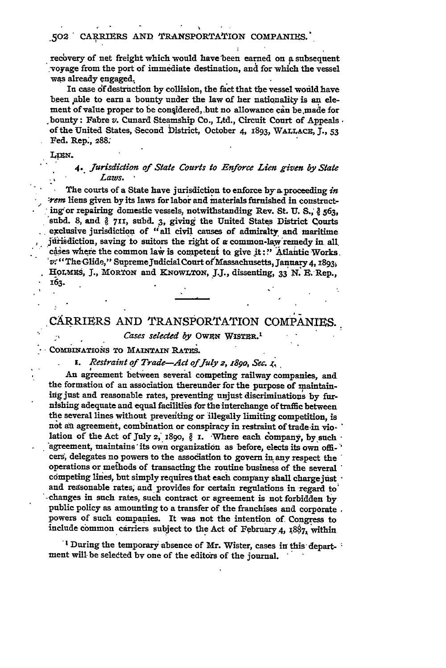recovery of net freight which would have been earned on a subsequent -voyage from the port of immediate destination, **and** for -which the vessel was already engaged,

In case df destruction by collision, the fact that **the** vessel wouild have been able to earn a bounty under the law of her nationality is an element of value proper to be considered, but no allowance can be made for bounty: Fabre *v.* Cunard Steamship Co., Ltd., Circuit Court of Appeals. of the United States, Second District, October 4, **1893,** WALLACE, **J., 53** Fed. Rep., **288:**

#### LIEN.

### *4. Jurisdiction of State Courts to Enforce Lien given by State Laws.*

The courts of a State have jurisdiction to enforce **by a** proceeding *in : r-em* **liens** given **by** its laws for labor and materials furnished in constructing or repairing domestic vessels, notwithstanding Rev. St. U. S.,  $\S$  563, **subd. 8,** and **711,** subd. **3,** giving the United States District Courts exclusive jurisdiction of "all civil causes of admiralty and maritime jisdiction, saving to suitors the right of *a* common-law'remedy in all. cases where the common law is competent to give it:" Atlantic Works. v: "The Glide," Supreme Judicial Court of Massachusetts, January 4, 1893, HOLMES, J., MORTON and KNOWLTON, J.J., dissenting, 33 N. E. Rep., 163.

# CARRIERS **AND** TRANSPORTATION **COMPANIES..**

*Cases selected by OWEN WISTER.*<sup>1</sup>

COMBINATIONS TO **MAINTAIN RATIES.**

*i. Restraint of Trade-Act ofJuly 2, 189o, Sec. <.*

**.** An agreement between several competing railway companies, and the formation of an association thereunder for the purpose of maintaining just and reasonable rates, preventing unjust discriminations by furnishing adequate and equal facilities for the interchange of traffic between the several lines without preventing or illegally limiting competition, is not an agreement, combination or conspiracy in restraint of trade in violation of the Act of July 2, 1890,  $\partial$  I. Where each company, by such  $\cdot$ agreement, maintains its own organization as before, elects its own officers, delegates no powers to the assodiation to govern in. any respect the operations or methods of transacting the routine business of the several competing lines, but simply requires that each company shall charge just  $\cdot$ and regsonable rates, and provides for certain regulations in regard **to'** '-changes in such rates, such contract or agreement is not forbidden **by** public policy as amounting to a transfer of the franchises and corporate *,* powers of such companies. It was not the intention of. **Congress** to include common carriers subject to the Act of February 4, 1887, within

<sup>1</sup> During the temporary absence of Mr. Wister, cases in this department will. be seledted by one of the editors of the journal. •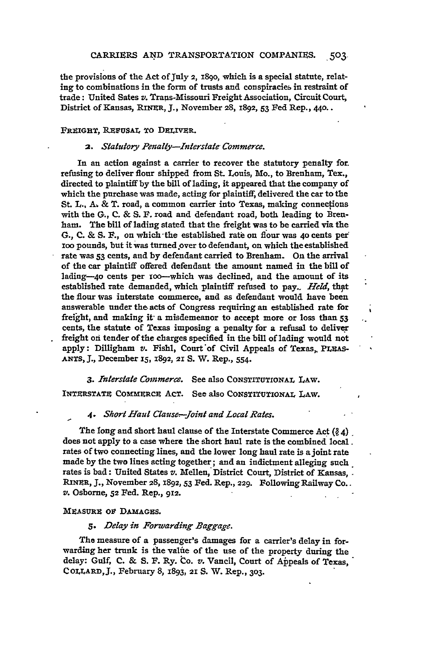the provisions of the Act **of July** 2, i8go, which is a special statute, relating to combinations in the form of trusts and conspiracies in restraint of trade: United Sates v. Trans-Missouri Freight Association, Circuit Court, District of Kansas, **RINER, J.,** November 28, 1892, **53** Fed Rep., 440..

#### **FREIGHT,** RzvuSAL **TO** DELIVER.

#### 2. Statutory Penalty-Interstate Commerce.

In an action against a carrier to recover the statutory penalty for. refusing to deliver flour shipped from **St.** Louis, Mo., to Brenham, Tex., directed to plaintiff by the bill of lading, it appeared that the company of which the purchase was made, acting for plaintiff; delivered the car to the St. L., **A,** & T. road, a common carrier into Texas, making connections with the **G., C.** & **S.** F. road and defendant road, both leading to Brenham. The bill of lading stated that the freight was to be carried via the **G., C.** & S. **F.,** on which-the established rate on flour was **40** cents **per loo** pounds, but it was turned over to defendant, on which the established rate was **53** cents, and **by** defendant carried to Brenham. **On** the arrival of the car plaintiff offered defendant the amount named in the bill of lading-4o cents per ioo-which was declined, and the amount of its established rate demanded, which plaintiff refused to pay. *Held*, that the flour was interstate commerce, and as defendant would have been answerable under the. acts of Congress requiring an established rate for freight, and making it- a misdemeanor to accept more or loss than **53** cents, the statute of Texas imposing a penalty for a refusal to deliver freight on tender of the charges specified in the bill of lading would not apply: Dilligham v. Fishl, Court of Civil Appeals of Texas, PLEAS-**ANTS, 3.,** December **15, X892,** 21 *S.* W. Rep., 554.

*3. Interstate Commerce.* See also **CONSTITUTIONAL** LAw. **INTERSTATE COMMERCE ACT.** See also CONSTITUTIONAL LAW.

#### *4. Short Haul Clause-Joint and Local Rates.*

The long and short haul clause of the Interstate Commerce Act **(Q** *4).* does not apply to a case where the short haul rate is the combined local. rates of two connecting lines, and the lower long haul rate is a joint rate made **by** the two lines acting together; and an indictment alleging such. rates is bad: United States *v.* Mellen, District Court, District of Kansas,. RINER, **J.,** November **28,** 1892, *53* Fed. Rep., **229.** Following Railway Co.. v. Osborne, **52** Fed. Rep., 912.

#### MEAsuRz ov **DAmAGuS.**

#### *s. Delay in Forwarding Baggage.*

The measure of a passenger's damages for a carrier's delay in forwarding her trunk is the value of the use of the property during the delay: Gulf, **C.** & **S.** F. Ry. to. *v.* Vancil, Court of Appeals of Texas, COLLARD, **J.,** February 8, 1893, **21 S.** W. Rep., **303.**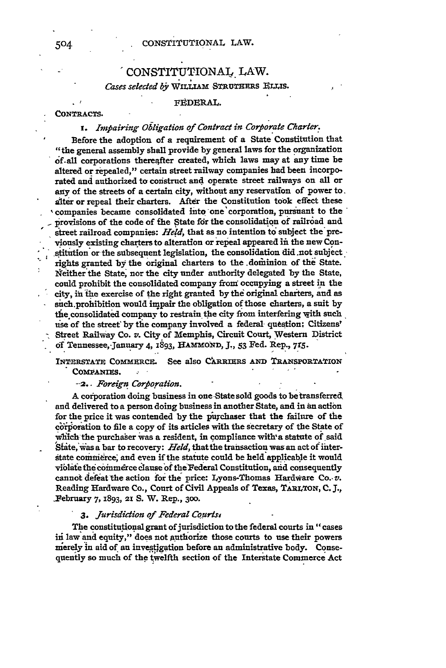# - CONSTITUTIONAL. LAW. Cases selected by WILLIAM STRUTHERS ELLIS.

#### **FEDERAL.**

**CONTRACTS.**

# *s. Impairing Obligation of Contract in Corporate Charter.*

Before the adoption of a requirement of a State Constitution that "the general assembly shall provide by general laws for the organization af-all corporations thereafter created, which laws may at any time **be** altered or repealed," certain street railway companies had been incorporated and authorized to construct and operate street railways on all or any of the streets of a certain city, without any reservation of power to. **alter** or repeal their charters. After the Constitution took effect these 'companies became consolidated into one'corporation, pursuant to the provisions of the code of the State for the consolidation of railroad and street railroad companies: *Hed,* that as no intention **to** subject the'previously existing charters to alteration or repeal appeared *iit* the new Constitution or the subsequent legislation, the consolidation did .not subject. rights granted by the original charters to the dominion of the State. Neither the State, nor the city under authority delegated **by** the State, could prohibit the consolidated company from occupying a street in the city, iii he exercise of the right granted **by** the original charters, and as sich.prohibition would impair the obligation **of** those charters, a suit **by** the consolidated company to restrain the city from interfering with such use of the street by the company involved a federal-question; Citizens' Street Railway Co. *v.* City of Memphis, Circuit Court, Western District **of** Tennessee,.Jauary 4, **1893, HAMMOND, J., 53** Fed. Rep., *7r5.*

INTERSTATE COMMERCE. See also CARRIERS AND TRANSPORTATION COMPANIES.

**\*** *-2.. Foreign Corpboration.*

A corporation doing business in one State sold goods to be transferred and delivered to a person doing business in another State, and in an action for the price it was contended by the purchaser that the failure of the corporation to file a copy of its articles with the secretary of the State of which the purchaser was a resident, in compliance with a statute of said State, was a bar to recovery: *Held*, that the transaction was an act of interstate commerce, and even if the statute could be held applicable it would violate the commerce clause of the Federal Constitution, and consequently cannot defeat the action **for the** price: Lyons-Thomas Hardware Co.- *v.* Reading Hardware Co., Court of Civil Appeals of Texas, TARLTON, C. J., February *7,* **1893, 21 S.** W. Rep., **300.**

# *3. Jurisdicion of Federal Cours4*

The constitutional grant of jurisdiction to the federal courts in "cases iii law and equity," **does** not **authorize** those courts to **use** their powers merely in aid of an investigation before an administrative body. Consequently so much of the twelfth section of the Interstate Commerce Act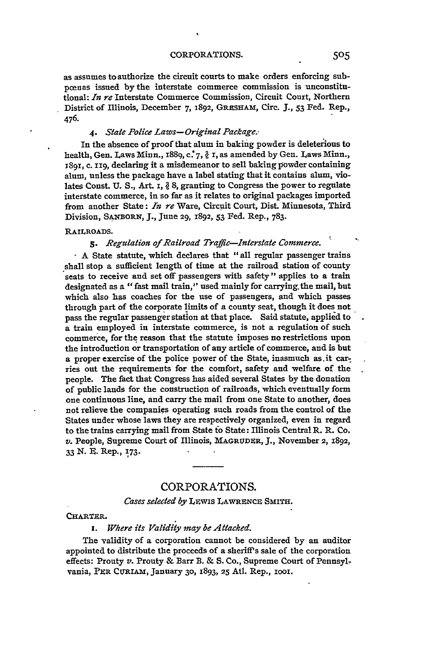as assumes to authorize the circuit courts to make orders enforcing subpcnas issued **by** the interstate commerce commission is unconstitutional: *In re* Interstate Commerce Commission, Circuit Court, Northern District of Illinois, December 7, 1892, GRESHAM, Circ. J., 53 Fed. Rep., 476.

#### *4. State Police Laws-Original Package.-*

In the absence of proof that alum in baking powder is deleterious to health, Gen. Laws Minn., 1889, **c\*7,** *?* I, as amended **by** Gen. Laws Minn., **89!,** c. II9, declaring it a misdemeanor to sell baking powder containing alum, unless the package have a label stating that it contains alum, violates Const. U. S., Art. 1, § 8, granting to Congress the power to regulate interstate commerce, in so far as it relates to original packages imported from another State: *In re* Ware, Circuit Court, Dist. Minnesota, Third Division, **SANBORN, J.,** June **29, 1892, 53** Fed. Rep., 783.

#### RAILROADS.

*s. Regulation of Railroad Traffic-Interstate Commerce.*

**A** State statute, which declares that "all regular passenger trains shall stop a sufficient length of time at the railroad station of county seats to receive and set off passengers with safety" applies to a train designated as a "fast mail train," used mainly for carrying.the mail, but which also has coaches for the use of passengers, and which passes through part of the corporate limits of a county seat, though it does not pass the regular passenger station at that place. Said statute, applied to a train employed in interstate commerce, is not a regulation of such commerce, for the reason that the statute imposes no restrictions upon the introduction or transportation of any article of commerce, and is but a proper exercise of the police power of the State, inasmuch as.it carries out the requirements for the comfort, safety and welfare of the people. The fact that Congress has aided several States by the donation of public lands for the construction of railroads, which eventually form one continuous line, and carry the mail from one State to another, does not relieve the companies operating such roads from the control of the States under whose laws they are respectively organized, even in regard to the trains carrying mail from State to State: Illinois Central R. R. Co. *v.* People, Supreme Court of Illinois, MAGRUDER, *J.,* November **2,** 1892, 33 N. E. Rep., **173.**

# CORPORATIONS.

# Cases selected by LEWIS LAWRENCE SMITH.

#### CHARTER.

*i. Where its Validity may be Attacked.*

The validity of a corporation cannot be considered **by** an auditor appointed to distribute the proceeds of a sheriff's sale of the corporation effects: Prouty **v.** Prouty & Barr **B.** & **S.** Co., Supreme Court of Pennsylvania, PIR CuIAm, January **30, 1893, 25** Atl. Rep., iooI.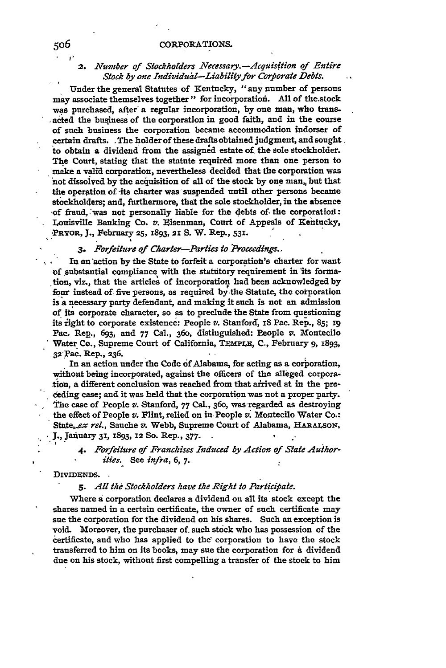# *2. Number of Stockholders Necessary.-Acquisftion of Entire* Stock by one Individual-Liability for Corporate Debts.

Under the general Statutes of Kentucky, "any number of persons may associate themselves together" for incorporation. All of the stock **was** purchased, after a regular incorporation, **by** one man, who transacted the business of the corporation in good faith, and in the course of such business the corporation became accommodation indorser of certain drafts. The holder of these drafts obtained judgment, and sought to obtain a dividend from the assigned estate of the sole stockholder. The Court, stating that the statute required more than one person to make a valid corporation, nevertheless decided that the corporation was **not** dissoived **by** the acuisition of all of the stock **by** one man,, but that the operation of its charter was suspended until other persons became stockholders; and, furthermore, that the sole stockholder, in the absence of fraud, :was not personally liable for the debts of- the corporatiol: Louisville Banking Co. v. Eisenman, Court of Appeals of Kentucky, -PRYOR, **J.,** February **25,** 1893, **21** S. W. Rep., **531.**

# *3. Forfeiture of Charter-Parties to [Proceedings..*

In an action by the State to forfeit a corporation's charter for want of substantial compliance with the statutory requirement in 'its formation, viz., that the articles of incorporation had been acknowledged **by** four instead of five persons, as required by the Statute, the corporation **is** a necessary party defendant, and making it such is not an admission of its corporate character, so as to preclude the State from questioning **its** fight to corporate existence: People v. Stanford, *iS* Pac. Rep., **85; i9** Pac. Rep., **693,** and **77** Cal., 360, distinguished: People v. Montecilo - Water Co., Supreme Court of California, *TRmPLB,* **C.,** February 9, 1893, **32** Pac. Rep., **236.**

In an action under the Code 6f Alabama, for acting as a corporation, without being incorporated, against the officers of the alleged corpora**tion,** a different conclusion was reached from that arived at in the preceding case; and it was held that the corporation was not a proper party. The case of People v. Stanford, **77** Cal., 360, was-regarded as destroying the effect of People *v.* Flint, relied on in People *v.* Montecilo Water Co.: *Stteex rel.,* Sauche *zr.* Webb, Supreme Court of Alabama, **HARArSON,** - **J.,** JaiiuarY 31 1893, **12 So.** Rep., **377.- -**

*4. Forfeiture af Franchises Induced by Action of State Authorities.* See *infra,* **6,** 7.

#### DIVIDENDS.

# *5. All the Stockholders have the Right to Partiifiate.*

Where a corporation declares a dividend on all its stock except the shares named in a certain certificate, the owner of such certificate may sue the corporation for the dividend on his shares. Such an exception is void. Moreover, the purchaser of such stock who has possession **of** the certificate, and who has applied to the corporation to have the stock transferred to him **on** its books, may sue the corporation for a dividend due on his stock, without first compelling a transfer of the stock to him

**I-**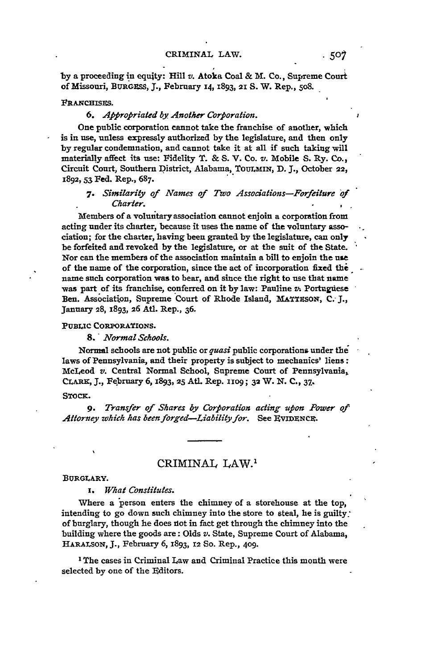**by** a proceeding in equity: Hill *v.* Atoka Coal & M. Co., Supreme Court of Missouri, BURGSS, **J.,** February **14,** 1893, **21 S.** W. Rep., 5o8.

#### FRANCHISES.

### *6. Appfropriated by Another Corporation.*

One public corporation cannot take the franchise of another, which is in use, unless expressly authorized **by** the legislature, and then only **by** regular condemnation, and cannot take it at all if such taking will materially affect its use: Fidelity T. & **S.** V. Co. v. Mobile **S.** Ry. **Co.,** Circuit Court, Southern District, Alabama, **TouLMIN, D. J.,** October **22,** 1892, **53** Fed. Rep., **687.**

# *7. Similarity of Names of Two Associations-Forfeiture of Charter.*

Members of a voluntary association cannot enjoin a corporation from acting under its charter, because it uses the name of the voluntary association; for the charter, having been granted **by** the legislature, can only be forfeited and revoked **by** the legislature, or at the suit of the State. Nor can the members of the association maintain a bill to enjoin the use of the name of the corporation, since the act of incorporation fixed **the** name such corporation was to bear, and since the right to use that name was part of its franchise, conferred on it **by** law: Pauline *v.* Portuguese Ben. Association, Supreme Court of Rhode Island, MATTESON, C. J., January 28, **1893,** 26 Atl. Rep., **36.**

#### **PUBLIC CORPORATIONS.**

*8.' Normal Schools.*

Normal schools are not public or *quasi* public corporations under the laws of Pennsylvania, and their property is subject to mechanics' liens: McLeod *v.* Central Normal School, Supreme Court of Pennsylvania, CLARK, **J.,** February **6, 1893, 25 At.** Rep. **iO9; 32** W. **N. C., 37,.**

### **STOCK.**

*9. Transfer of Shares by Corporation acting upon Power of Attorney which has been forged-Liability for.* See **EVIDZNCX.**

# CRIMINAL **LAW.1**

# BURGLARY.

*x. What Constitutes.*

Where a person enters the chimney of a storehouse at the top, intending to go down such chimney into the store to steal, he is guilty: of burglary, though he does iot in fact get through the chimney into the building where the goods are: Olds *v.* State, Supreme Court of Alabama, **HARALSON, J.,** February 6, 1893, 12 So. Rep., **409.**

**<sup>1</sup>**The cases in Criminal Law and Criminal Practice this month were selected **by** one of the Editors.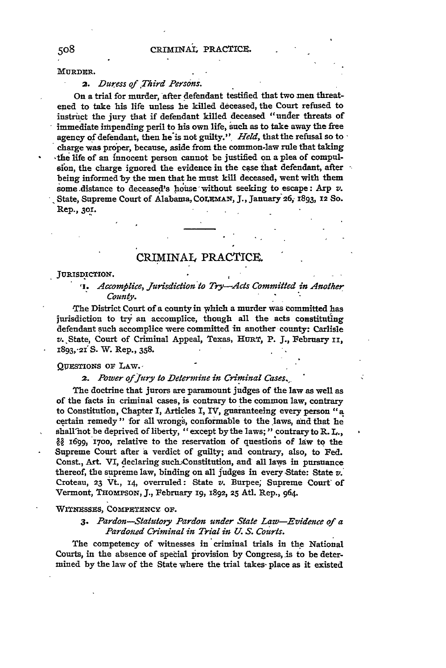MURDER.

# *2. Duress of Third Persons.*

On a trial for murder, after defendant testified that two men threatened to take his life unless he killed deceased, the Court refused to instruct the jury that if defendant killed deceased "under threats of immediate impending peril to his own life, such as to take away the free agency of defendant, then **he'is** not guilty." *Held,* that the refusal so to  charge was proper, because, aside from the common-law rule that taking 'the life of an innocent person cannot be justified on a plea of compulsfon, the charge ignored the evidence in the case that defendant, after being informed ly the men that he must **kill** deceased, went with them some distance to deceased's hoiase without seeking to escape: Arp *v.* .State, Supreme Court of Alabama, CoLEMAN, **J.,** January **26i** 1893, **12 So.** Rep., **3o1.**

# CRIMINAL PRACTICE.

#### **JURISDICTION.**

*,I. Accomplice, Jursdiction to Try-Acts Committed in Another County.*

The District Court of a county in which a murder was committed has jurisdiction to try an accomplice, though all the acts constituting defendant such accomplice were committed in another county: Carlisle *v.* ,State, Court of Criminal Appeal, Texas, HURT, P. J., February **ii,** 1893,-21'S. W. Rep., 358.

#### QUESTIONS OF LAW.

#### **2.** *Power of\_ Jury to Determine in Criminal Cases.-*

The doctrine that jurors are paramount judges of the law as well as of the facts in criminal cases, is contrary to the common law, contrary to Constitution, Chapter I, Articles I, IV, guaranteeing every person "a certain remedy" for all wrongs, conformable to the laws, and that he shall not be deprived of liberty, "except by the laws;" contrary to R. L.,  $\frac{2}{3}$  1699, 1700, relative to the reservation of questions of law to the Supreme Court after **a** verdict of guilty; and contrary, also, to Fed. Const., Art. VI, declaring such-Constitution, and all laws in pursuance thereof, the supreme law, binding on all judges in every State: State *v.* Croteau, **23** Vt., **14,** overruled: State v. Burpee; Supreme Court' of Vermont, THompsoN, **J.,** February **i9,** 1892, **25** AUt. Rep., 964.

WITNESSES, COMPETENCY OF.

*3. Pardon-Statutory Pardon under State Law-Evidence of a Pardotzed Criminal in Trial in U. S. Courts.*

The competency of witnesses in criminal trials in the National Courts, in the absence of special provision by Congress, is to be determined by the law of the State where the trial takes- place as it existed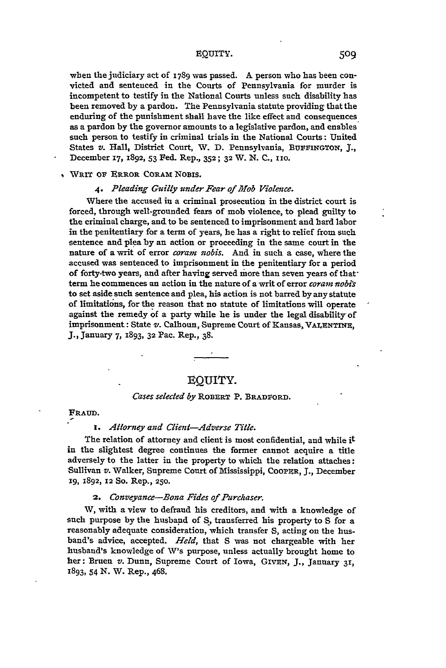# EQUITY. 509

when the judiciary act **of** 1789 was passed. **A** person who has been convicted and sentenced in the Courts of Pennsylvania for murder is incompetent to testify in the National Courts unless such disability has been removed **by** a pardon. The Pennsylvania statute providing that the enduring of the punishment shall have the like effect and consequences as a pardon **by** the governor amounts to a legislative pardon, and enables such person to testify in criminal trials in the National Courts **:** United States *v.* Hall, District Court, W. **D.** Pennsylvania, **BUrF'NGTON, 3.,** December **17, 1892, 53** Fed. Rep., **352; 32** W. **N. C.,** xio.

# WRIT OV **ERROR CORAm** NowIs.

# *4. Pleading Guilty under Fear of Mlob Violence.*

Where the accused in a criminal prosecution in the district court is forced, through well-grounded fears of mob violence, to plead guilty to the criminal charge, and to be sentenced to imprisonment and hard labor in the penitentiary for a term of years, he has a right to relief from such sentence and plea **by** an action or proceeding in the same court in the nature of a writ of error *coram nobis.* **And** in such a case, where the accused was sentenced to imprisonment in the penitentiary for a period of forty-two years, and after having served more than seven years of thatterm he commences an action in the nature of a writ of error *coram nobi's* to set aside such sentence and plea, his action is not barred **by** any statute of limitations, for the reason that no statute of limitations will operate against the remedy of a party while he is under the legal disability of imprisonment: State v. Calhoun, Supreme Court of Kansas, VALBNTInE, **J.,** January **7,** 1893, **32** Pac. Rep., **38.**

# **EQUITY.**

# *Cases selected by* **RoBERT** P. **BRADFORD.**

#### **FRAUD.**

# *1. Attorney and Client-Adverse Title.*

The relation of attorney and client is most confidential, and while **it** in the slightest degree continues the former cannot acquire a title adversely to the latter in the property to which the relation attaches: Sullivan *v.* Walker, Supreme Court of Mississippi, COOPER, **J.,** December X9, **1892, 12** So. Rep., **250.**

# *2. Conveyance-Bona Fides of Purchaser.*

W, with a view to defraud his creditors, and with a knowledge of such purpose **by** the husband of **S,** transferred his property to **S** for a reasonably adequate consideration, which transfer **S,** acting on the husband's advice, accepted. *Held,* that **S** was not chargeable with her husband's knowledge of W's purpose, unless actually brought home to her: Bruen *v.* Dunn, Supreme Court of Iowa, GIvRN, **J.,** January **31, 1893, 54 N. W.** Rep., 468.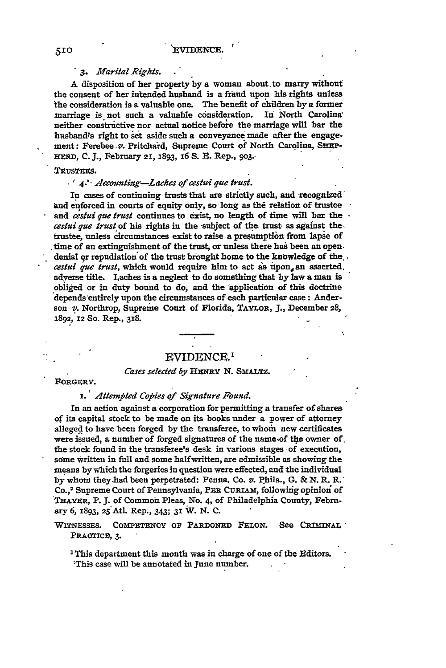# *3. Marital Rights.*

A disposition of her property **by** a woman about, to marry without the consent of her intended husband is a fraud upon his rights unless the consideration is a valuable one. The benefit of children **by** a former marriage is not such a valuable consideration. In North Carolina neither constructive nor actual notice **before** the marriage will bar the husband's right to **ket** aside such a conveyance made after the engagement: Ferebee.v. Pritchaid, Supreme Court of North Carolina, **SuEP-HERD, C. J.,** February *21,* **1893,** x6 **S.** R. Rep., **9o3.-**

#### **.TtUSTZEs.**

#### *4.'" Aecounting-Laches of cestui que trust.*

In cases of continuing trusts that are strictly such, and recognized and enforced in courts of equity only, so long as the relation of trustee and *cestui que trust* continues to exist, no length of time will bar the *cestui que trust* of his rights in the subject of the. trust as against the. trustee, unless circumstances exist to raise a presumption from lapse of time of an extinguishment of the trust, or unless there has been an open. denial or repudiation of the trust brought home to the knowledge of the... cestui que trust, which would require him to act as upon, an asserted. adyerse title. Laches is a neglect to do something that **by** law a man is obliged or in duty bound to do, and the 'application of this doctrine depends'entirely upon the circumstances of each particular case: Anderson *v.* Northrop, Supreme Court of Florida, **TAYLOR, J.,** December **28, 1892, 12** So. Rep., **318.**

# EVIDENCE.'

#### *Cases selected by Hj3NRY* **N.** SsrLTz.

FORGERY.

# *i.' Attempted Copies of Signature Found.*

In an action against a corporation for permitting a transfer of shares of its capital stock to be made on its books under a power of attorney alleged to have been forged by the transferee, to whom new certificates were issued, a number of forged signatures of the name~of the owner **of.** the stock found in the transferee's desk in various stages of execution, some written in full and some halfwritten, are admissible as showing the means **by** which the forgeries in question were effected, and the individual **by** whom they.had been perpetrated: Penna. Co. *v.* Phila., **G. & N. PL R."** Co.,2 Supreme Court of Pennsylvania, PsR CuRIAm, following opinion of **THAYER,** P.3. of Commoni Pleas, **No.** 4, **of** Philadelphia County, February **6,** 1893, 25 Atl. Rep., 343; **31** W. **N. C.**

WITNESSES. COMPETENCY OF PARDONED FELON. See CRIMINAL PRAOTICP, **3.**

'This department this month was in charge of one of the Editors. 'This case will be annotated in June number.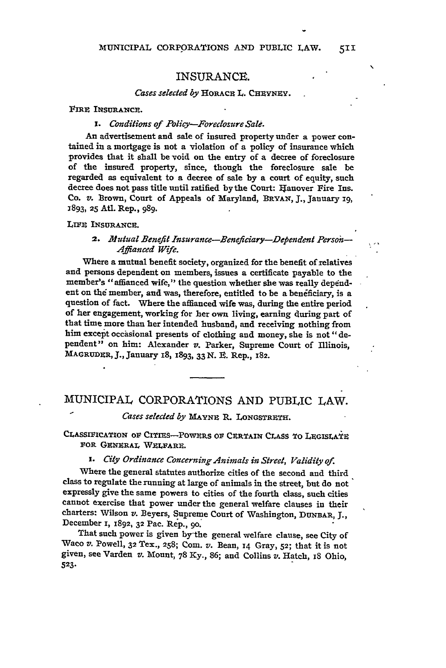# INSURANCE.

#### Cases selected by **HORACR L. CHEYNEY**.

FIRE INSURANCE.

# *I. Conditions of Policy-Foreclosure Sale.*

**An** advertisement and sale of insured property under a power contained in a mortgage is not a violation of a policy of insurance which provides that it shall be void on the entry of a decree of foreclosure of the insured property, since, though the foreclosure sale be regarded as equivalent to a decree of sale **by** a court of equity, such decree does not pass title until ratified by the Court: Hanover Fire Ins. Co. *v.* Brown, Court of Appeals of Maryland, BRYAN, **J.,** January **19,** 1893, **25** Atl. Rep., 989.

### LIFE INSURANCE.

# 2. Mutual Benefit Insurance-Beneficiary-Dependent Person *Affianced Wife.*

Where a mutual benefit society, organized for the benefit of relatives and persons dependent on members, issues a certificate payable to the member's "affianced wife," the question whether she was really dependent on *thd* member, and was, therefore, entitled to be a benficiary, is a question of fact. Where the affianced wife was, during the entire period of her engagement, working for her own living, earning during part of that time more than her intended husband, and receiving nothing from him except occasional presents of clothing and money, she is not "dependent" on him: Alexander *v.* Parker, Supreme Court of Illinois, **MAGRUDIR, J.,** January I8, **1893, 33 N. R.** Rep., **182.**

# MUNICIPAL CORPORATIONS **AND PUBLIC** LAW.

#### *Cases selected by MAYNE R. LONGSTRETH.*

CLASSIFICATION OF CITIES-POWERS OF CERTAIN CLASS TO LEGISLATE **FOR GENERAL WZLFAR.**

# *'. City Ordinance Concerning Animals in Street, Validity of.*

Where the general statutes authorize cities of the second and third class to regulate the running at large of animals in the street, but do not expressly give the same powers to cities of the fourth class, such cities cannot exercise that power under the general welfare clauses in their charters: Wilson *v.* Beyers, Supreme Court of Washington, DUNBAR, **J.,** December 1, **1892, 32** Pac. Rep., go.

That such power is given by'the general welfare clause, see City of Waco v. Powell, **32** Tex., **258; CoM.** *v.* Bean, **14** Gray, **52;** that it is not given, see Varden *v.* Mount, 78 *Ky.,* **86;** and Collins *v.* Hatch, iS Ohio, **523.**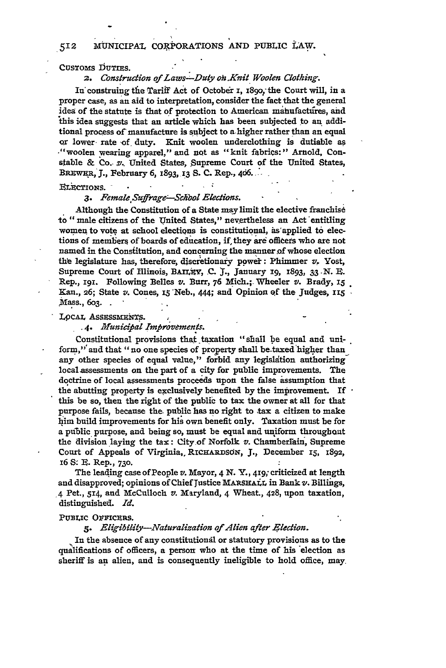# 12 MUNICIPAL CORPORATIONS **AND** PUBLIC **LAW.**

#### CUSTOMS DUTIES.

#### 2. Construction of Laws-Duty on Knit Woolen Clothing.

In construing the Tariff Act of October I, 1890, the Court will, in a proper case, as an aid to interpretation, consider the fact that the general idea of the statute is that of protection to American mahufactures, and this idea suggests that an article which has been subjected to an additional process of manufacture is subject to a higher rather than an equal or lower rate of duty. Knit woolen underclothing is dutiable as -"woolen wearing apparel," and not as "knit fabrics:" Arnold, Constable & **Co.** z'. United States, Supreme Court of the United States, BREWER, J., February 6, 1893, 13 S. C. Rep., 406.

#### FLECTIONS.

#### *3. Female,Suffrage'-Shbol Elections.*

Although the Constitution of a State may limit the elective franchise to "male citizens of the United States," nevertheless an Act entitling women to vote at school elections is constitutional, as applied to elections of members of boards of education, if they are officers who are not named in the Consfitution, and concerning the munner of whose election the legislature has, therefore, discretionary power: Phimmer v. Yost, Supreme Court of Illinois, BAILaV, **C. I.,** January **i9,** x893, **33 N.** *B.* Rep., I9I. Following Belles *v.* Burr, **76** Mich.; Wheeler *v.* Brady, **<sup>15</sup>** Kan., 26; State v. Cones, 15 Neb., 444; and Opinion of the Judges, 115 Mass., 603.

# LOCAL ASSESSMENTS.

#### *.4. Mlunicipal Improvements.*

Constitutional provisions that taxation "shall **be** equal and uniform,"'and that "no one species of property shall be-taxed higher than any other species of equal value," forbid any legislation authorizing local assessments on the part of a city for public improvements. The doctrine of local assessments proceeds upon the false assumption that the abutting property is exclusively benefited **by** the improvement. If this be so, then the right of the public to tax the owner at all for that purpose fails, because the. public has **no** right to tax a citizen to make **1him** build improvements for his own benefit only. Taxation must be for **a puTlic** purpose, and being so, must be equal and **uniform** throughont the division laying the tax: City of Norfolk *v.* Chamberlain, Supreme Court of Appeals of Virginia,, RICHARDSON, **J.,** December *15,* 1892, 16 **S: R .** Rep., **<sup>73</sup> <sup>o</sup> .**

The leading case of People *v.* Mayor, 4 N. **Y., 419;** criticized at length and disapproved; opinions of Chief Justice MARSHALL in Bank  $v$ . Billings, ,4 Pet., 514, and McCulloch *v.* Maryland, 4 Wheat., 428, upon taxation, distinguished. *Id.*

#### PUBLIC OFFICERS.

#### *5. Eligibility-Naturalization of Alien after Election.*

**In** the absence of any constitutiondl or statutory provisions as to the qualifications of officers, a person who at the time of his 'election as sheriff is an alien, and is consequently ineligible to hold office, may,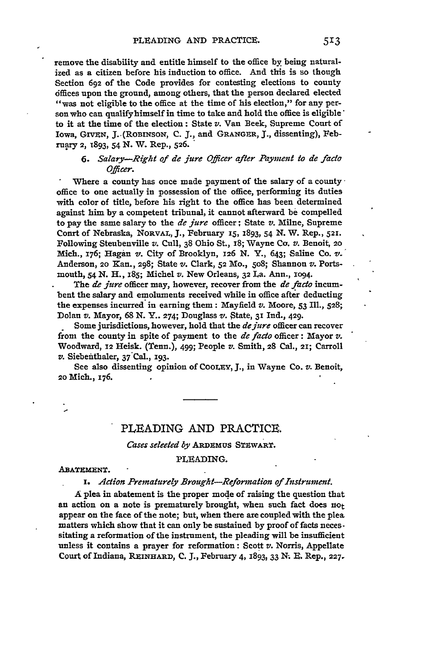remove the disability and entitle himself to the office **by** being naturalized as a citizen before his induction to office. And this is so though Section **692** of the Code provides for contesting elections to county dffices upon the ground, among others, that the person declared elected "was not eligible to the office at the time of his election," for any person who can qualifyhimself in time to take and hold the office is eligible' to it at the time of the election: State *v.* Van Beek, Supreme Court of Iowa, GIVzN, J..(ROBINSON, **C.** *J.,* and **GRANGER, J.,** dissenting), February 2, **1893,** 54 N. W. Rep., 526.

# *6. Salary-Right of de jure Officer after Payment to de facto Officer.*

Where a county has once made payment of the salary of a county  $\cdot$ office to one actually in possession of the office, performing its duties with color of title, before his right to the office has been determined against him **by** a competent tribunal, it cannot afterward **be** compelled to pay the same salary to the *de jure* officer; State *v.* **Milne,** Supreme Conrt of Nebraska, **NORVAL, J.,** February *15,* **1893,** 54 **N.** W. Rep., **521.** Following Steubenville *v.* **Cull, 38** Ohio St., i8; Wayne *Co. v.* **Benoit, 20** Mich., 176; Hagan v. City of Brooklyn, 126 **N.** Y., 643; Saline Co. v.' Anderson, **20** Kan., 298; State v. Clark, **52** Mo., So8; Shannon *v.* Portsmouth, 54 **N.** H., **x85;** Michel v. New Orleans, **32 La. Ann., 1O94.**

The *de jure* officer may, however, recover from the *de faco* incumbent the salary and emoluments received while in office after deducting the expenses incurred in earning them: Mayfield v. **Moore, 53** Ill., 528; Dolan v. Mayor, **68 N.** Y.. **274;** Douglass *v.* State, 31 Ind., **429.**

- Some jurisdictions, however, hold that the *dejure* officer can recover from the county in spite of payment to the *de facto* officer: **Mayor** *v.* Woodward, **12** Heisk. (Tenn.), 499; People *v.* Smith, **28** Cal., 21; Carroll *v.* Siebenithaler, 37 Cal., 193.

See also dissenting opinion of **COOLZY, J.,** in Wayne Co. **v. Benoit, 20** Mich., 176.

# PLEADING AND PRACTICE.

# *Cases seleeted by* **ARDEMus STEWART.**

#### PLEADING.

ABATEMENT.

*1. Action Prematurely Brought-Reformation of Instrument.*

A plea in abatement is the proper mode of raising the question that an action on a note is prematurely brought, when such fact does not appear on the face of the note; but, when there are coupled with the plea matters which show that it can only be sustained by proof of facts necessitating a reformation of the instrument, the pleading will be insufficient unless it contains a prayer for reformation: Scott *v.* Norris, Appellate Court of Indiana, **R.EIHARD, C. J.,** February 4, **E893,** 33 **N!. E.** Rep., **227.**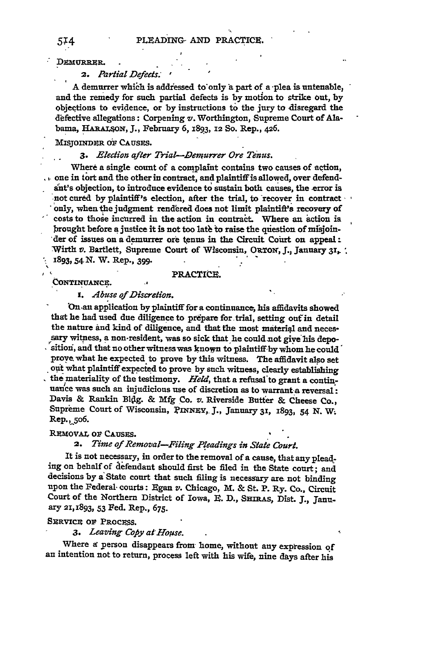DEMURRER.

*2. Partial Defects.*

**A** demurrer which is addressed to'only a part of a -plea is untenable, and the remedy for such partial defects is **by** motion to strike out, **by** objeqtions to evidence, or **by** instructions to the jury to disregard the defective allegations: Corpening *v.* Worthington, Supreme Court of Ala**bama,** HARAIroN, **J.,** February **6, 1893,** 12 **So.** Rep., **426.**

#### MISJOnMER OF **CAUSES.**

#### *3. Election after Trial--Demurrer Ore Tenus.*

Where a single count of a complaint contains two causes of action,  $\dots$  one in tort and the other in contract, and plaintiff is allowed, over defendat's objection, to introduce evidence **to** sustain both causes, the -error is not cured **by** plaintiff's election, after the trial, to recover in contract only, when the judgment rendered does not limit plaintift's recovery of costs to those incurred in the action in contract. Where an action is brought before **a** justice it is not too lath **to** raise the question of misjoin- 'der of issues on a demurrer ore **tenus** in the Circuit Court on appeal: 'Wirth *v.* Bartlett, Supreme Court of Wisconsin, ORTON, **J.,** January **3z,•** " **i8g3,54N.** W. Rep., **399.**

**LONTINUANCE.** PRACTICE.

*1. Abuse of Discretion.*

**On** an application **by** plaintiff for a continuance, his affidavits showed that he had used due diligence to prepare for trial, setting out in detail the nature **and** kind of diligence, and that the most materiql and neces- sary witness, a non-resident, was so sick that he **could -ot give** *his* **depo**sitioni, and that no other witness was known to **plaintiffby** whom he could' prove what he expected to prove **by** this witness. The affidavit also set out what plaintiff expected to prove **by** such witness, clearly establishing the materiality of the testimony. *Held,* that a refusal'to grant a continuance was such an injudicious use of discretion as to warrant a reversal: Davis **&** Rankin **Bldg.** & **Mfg** Co. v. Riverside Butter & Cheese Co., Supreme Court of Wisconsin, PINNEY, J., January 31, 1893, 54 N. W. Rep.,5o6.

#### **REMovAl, OF** CAusEs.

# *2. Time of Removal-Filing Pleadings in State Court.*

It is not necessary, in order to the removal of a cause, that any pleading on behalf of defendant should first be filed in the State court; and decisions **by** a' State court that such filing is necessary are not binding upon the Federal- courts: Egan v. Chicago, M. & St. **P.** Ry. Co.. Circuit Court of the Northern District of Iowa, *E. D.*, SHIRAS, Dist. J., January 21,1893, **53** Fed. Rep., **675.**

# **SERVICE OF PROCESS.**

# 3. Leaving Copy at House.

Where **a** person disappears from home, without any expression of an intention not to return, process left with his wife, nine days after his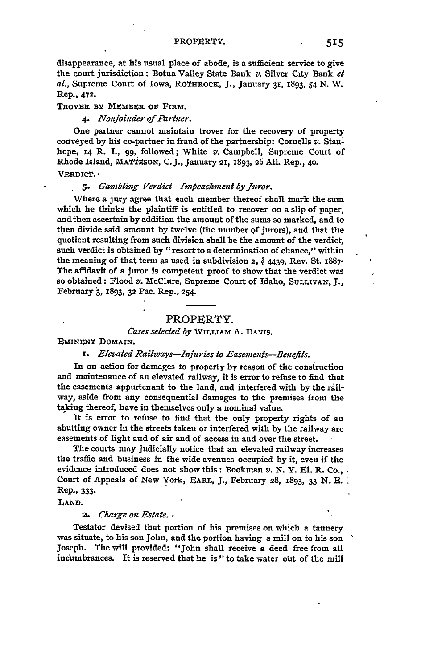disappearance, at his usual place of abode, is a sufficient service to give **the** court jurisdiction: Botna Valley State Bank *v.* Silver City Bank *et al.,* Supreme Court of Iowa, ROTHROCK, **J.,** January **31,** 1893, 54 **N.** W. Rep., **472.**

**TROVER BY MEMBER OF FIRM.** 

*4. Nonjoinder of Partner.*

One partner cannot maintain trover for the recovery of property conveyed by his co-partner in fraud of the partnership: Cornells *v.* Stan-. hope, **14** R. I., **99,** followed; White v. Campbell, Supreme Court of Rhode Island, MATTESON, C.J., January 21, 1893, 26 Atl. Rep., 40.

VERDICT.

#### 5. *Gambling Verdict-Impeachment by Juror.*

Where a jury agree that each member thereof shall mark the sum which he thinks the plaintiff is entitled to recover on a slip of paper, and then ascertain by addition the amount of the sums so marked, and to then divide said amount **by** twelve (the number **of** jurors), and that the quotient resulting from such division shall be the amount of the verdict, such verdict is obtained by "resort to a determination of chance," within the meaning of that term as used in subdivision **2,** 4439, Rev. St. 1887. The affidavit of a juror is competent proof to show that the verdict was so obtained: Flood *v.* McClure, Supreme Court of Idaho, **SULLIvAN, J.,** February **3,** 1893, **32** Pac. Rep., 254.

#### PROPERTY.

# *Cases selected by* **WILLIAm** A. **DAVIS.**

**EMINENT** DOMAIN.

#### *i. Elevated Railways-Injuries to Easements-Benefits.*

In an action for damages to property **by** reason of the consiruction and maintenance of an elevated railway, it is error to refuse to find that the easements appurtenant to the land, and interfered with **by** the railway, aside from any consequential damages to the premises from the taking thereof, have in themselves only a nominal value.

It is error to refuse to find that the only property rights of an abutting owner in the streets taken or interfered with **by** the railway are easements of light and of air and of access in and over the street.

The courts may judicially notice that an elevated railway increases the traffic and business in the wide avenues occupied **by** it, even if the evidence introduced does not show this: Bookman *v.* **N.** Y. **El.** R. Co., Court of Appeals of New York, EARL, **J.,** February **28,** 1893, 33 **N. E.** Rep., 333.

**LAND.**

*2. Charge on Estate.* •

Testator devised that portion of his premises on which a tannery was situate, to his son John, and the portion having a mill on to his son Joseph. The will provided: "John shall receive a deed free from all incumbrances. It is reserved that he is" to take water out of the mill  $\cdot$